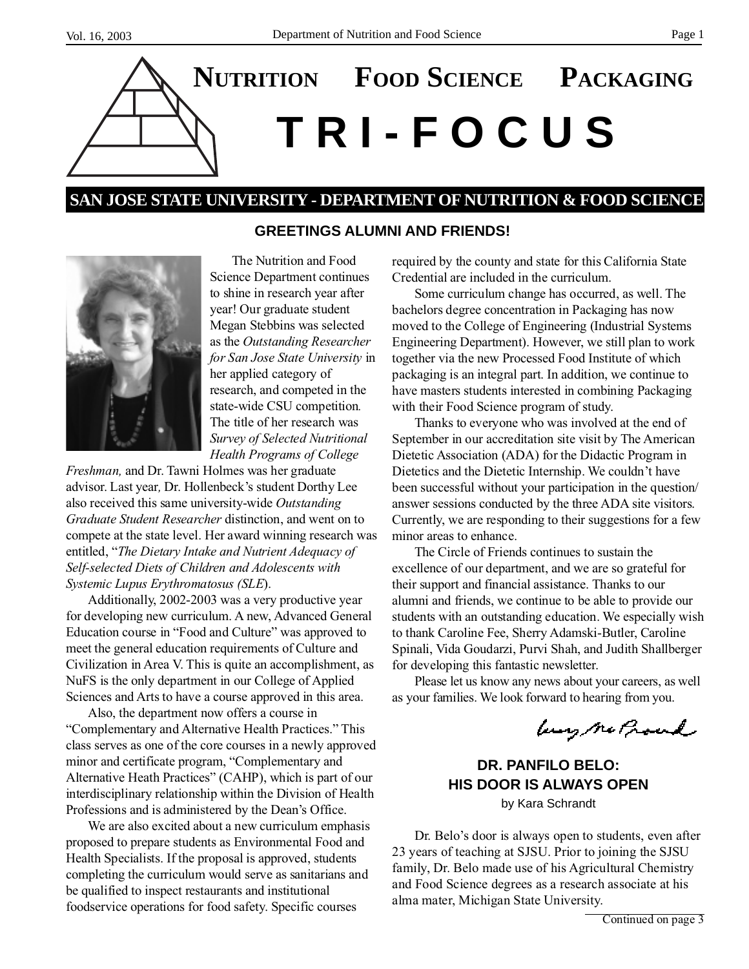

# **SAN JOSE STATE UNIVERSITY - DEPARTMENT OF NUTRITION & FOOD SCIENCE**



The Nutrition and Food Science Department continues to shine in research year after year! Our graduate student Megan Stebbins was selected as the *Outstanding Researcher for San Jose State University* in her applied category of research, and competed in the state-wide CSU competition*.* The title of her research was *Survey of Selected Nutritional Health Programs of College*

*Freshman,* and Dr. Tawni Holmes was her graduate advisor. Last year*,* Dr. Hollenbeck's student Dorthy Lee also received this same university-wide *Outstanding Graduate Student Researcher* distinction, and went on to compete at the state level. Her award winning research was entitled, "*The Dietary Intake and Nutrient Adequacy of Self-selected Diets of Children and Adolescents with Systemic Lupus Erythromatosus (SLE*).

Additionally, 2002-2003 was a very productive year for developing new curriculum. A new, Advanced General Education course in "Food and Culture" was approved to meet the general education requirements of Culture and Civilization in Area V. This is quite an accomplishment, as NuFS is the only department in our College of Applied Sciences and Arts to have a course approved in this area.

Also, the department now offers a course in "Complementary and Alternative Health Practices." This class serves as one of the core courses in a newly approved minor and certificate program, "Complementary and Alternative Heath Practices" (CAHP), which is part of our interdisciplinary relationship within the Division of Health Professions and is administered by the Dean's Office.

We are also excited about a new curriculum emphasis proposed to prepare students as Environmental Food and Health Specialists. If the proposal is approved, students completing the curriculum would serve as sanitarians and be qualified to inspect restaurants and institutional foodservice operations for food safety. Specific courses

#### **GREETINGS ALUMNI AND FRIENDS!**

required by the county and state for this California State Credential are included in the curriculum. Some curriculum change has occurred, as well. The bachelors degree concentration in Packaging has now moved to the College of Engineering (Industrial Systems Engineering Department). However, we still plan to work together via the new Processed Food Institute of which packaging is an integral part. In addition, we continue to have masters students interested in combining Packaging with their Food Science program of study.

> Thanks to everyone who was involved at the end of September in our accreditation site visit by The American Dietetic Association (ADA) for the Didactic Program in Dietetics and the Dietetic Internship. We couldn't have been successful without your participation in the question/ answer sessions conducted by the three ADA site visitors. Currently, we are responding to their suggestions for a few minor areas to enhance.

The Circle of Friends continues to sustain the excellence of our department, and we are so grateful for their support and financial assistance. Thanks to our alumni and friends, we continue to be able to provide our students with an outstanding education. We especially wish to thank Caroline Fee, Sherry Adamski-Butler, Caroline Spinali, Vida Goudarzi, Purvi Shah, and Judith Shallberger for developing this fantastic newsletter.

Please let us know any news about your careers, as well as your families. We look forward to hearing from you.

burg Me Proud

**DR. PANFILO BELO: HIS DOOR IS ALWAYS OPEN** by Kara Schrandt

Dr. Belo's door is always open to students, even after 23 years of teaching at SJSU. Prior to joining the SJSU family, Dr. Belo made use of his Agricultural Chemistry and Food Science degrees as a research associate at his alma mater, Michigan State University.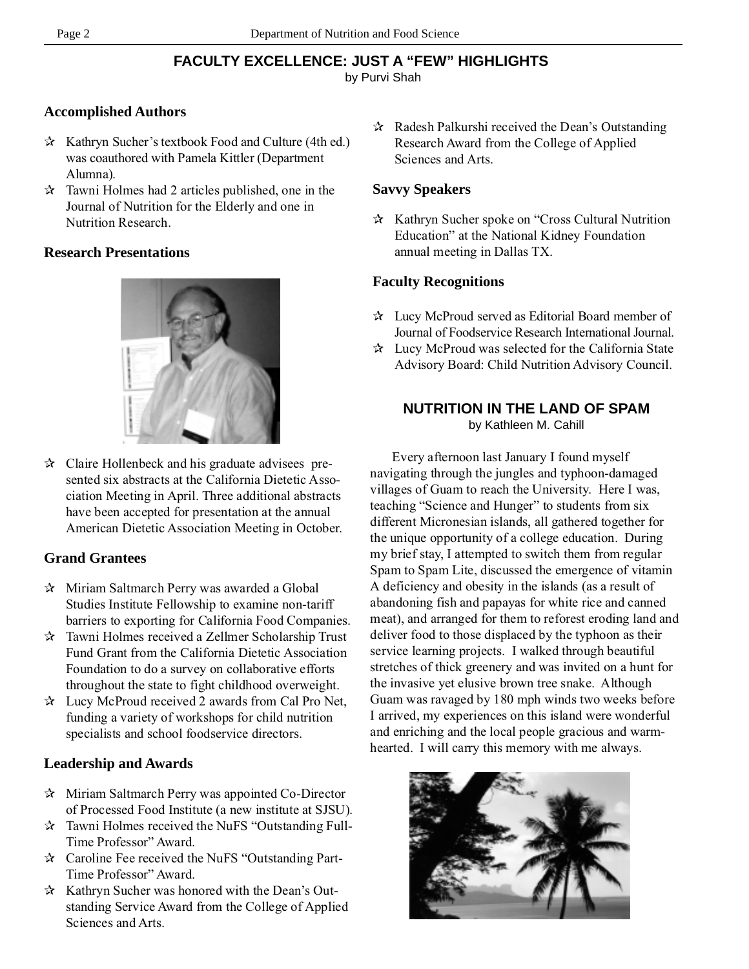# **FACULTY EXCELLENCE: JUST A "FEW" HIGHLIGHTS**

by Purvi Shah

## **Accomplished Authors**

- ✰ Kathryn Sucher's textbook Food and Culture (4th ed.) was coauthored with Pamela Kittler (Department Alumna).
- $\lambda$  Tawni Holmes had 2 articles published, one in the Journal of Nutrition for the Elderly and one in Nutrition Research.

### **Research Presentations**



✰ Claire Hollenbeck and his graduate advisees presented six abstracts at the California Dietetic Association Meeting in April. Three additional abstracts have been accepted for presentation at the annual American Dietetic Association Meeting in October.

# **Grand Grantees**

- ✰ Miriam Saltmarch Perry was awarded a Global Studies Institute Fellowship to examine non-tariff barriers to exporting for California Food Companies.
- ✰ Tawni Holmes received a Zellmer Scholarship Trust Fund Grant from the California Dietetic Association Foundation to do a survey on collaborative efforts throughout the state to fight childhood overweight.
- ✰ Lucy McProud received 2 awards from Cal Pro Net, funding a variety of workshops for child nutrition specialists and school foodservice directors.

# **Leadership and Awards**

- ✰ Miriam Saltmarch Perry was appointed Co-Director of Processed Food Institute (a new institute at SJSU).
- ✰ Tawni Holmes received the NuFS "Outstanding Full-Time Professor" Award.
- ✰ Caroline Fee received the NuFS "Outstanding Part-Time Professor" Award.
- ✰ Kathryn Sucher was honored with the Dean's Outstanding Service Award from the College of Applied Sciences and Arts.

✰ Radesh Palkurshi received the Dean's Outstanding Research Award from the College of Applied Sciences and Arts.

#### **Savvy Speakers**

✰ Kathryn Sucher spoke on "Cross Cultural Nutrition Education" at the National Kidney Foundation annual meeting in Dallas TX.

#### **Faculty Recognitions**

- ✰ Lucy McProud served as Editorial Board member of Journal of Foodservice Research International Journal.
- ✰ Lucy McProud was selected for the California State Advisory Board: Child Nutrition Advisory Council.

#### **NUTRITION IN THE LAND OF SPAM** by Kathleen M. Cahill

Every afternoon last January I found myself navigating through the jungles and typhoon-damaged villages of Guam to reach the University. Here I was, teaching "Science and Hunger" to students from six different Micronesian islands, all gathered together for the unique opportunity of a college education. During my brief stay, I attempted to switch them from regular Spam to Spam Lite, discussed the emergence of vitamin A deficiency and obesity in the islands (as a result of abandoning fish and papayas for white rice and canned meat), and arranged for them to reforest eroding land and deliver food to those displaced by the typhoon as their service learning projects. I walked through beautiful stretches of thick greenery and was invited on a hunt for the invasive yet elusive brown tree snake. Although Guam was ravaged by 180 mph winds two weeks before I arrived, my experiences on this island were wonderful and enriching and the local people gracious and warmhearted. I will carry this memory with me always.

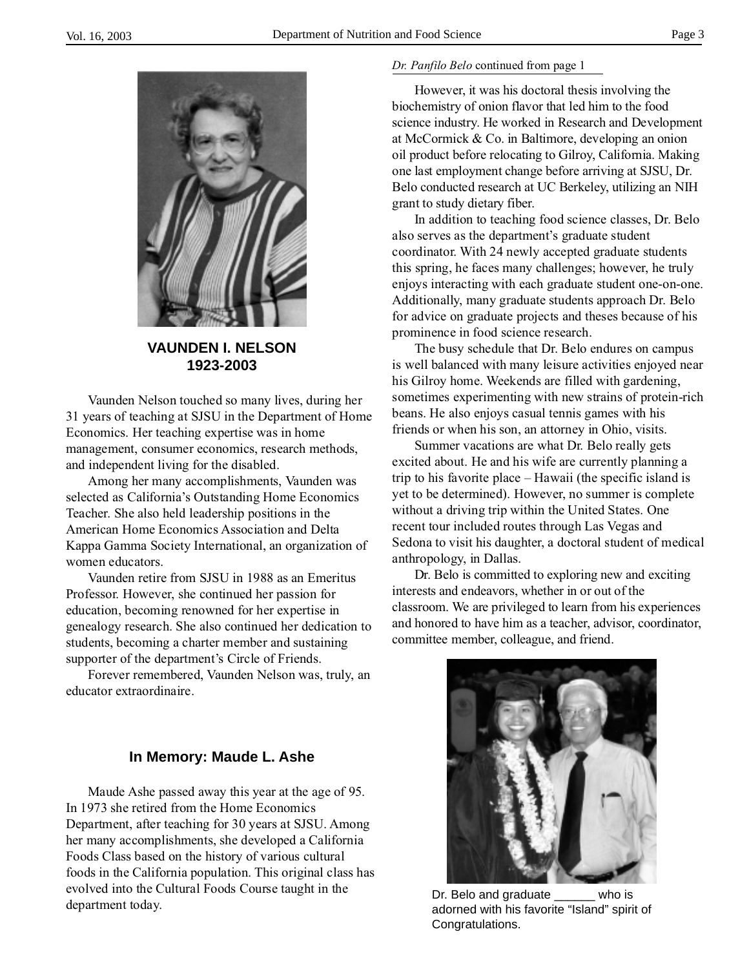

**VAUNDEN I. NELSON 1923-2003**

Vaunden Nelson touched so many lives, during her 31 years of teaching at SJSU in the Department of Home Economics. Her teaching expertise was in home management, consumer economics, research methods, and independent living for the disabled.

Among her many accomplishments, Vaunden was selected as California's Outstanding Home Economics Teacher. She also held leadership positions in the American Home Economics Association and Delta Kappa Gamma Society International, an organization of women educators.

Vaunden retire from SJSU in 1988 as an Emeritus Professor. However, she continued her passion for education, becoming renowned for her expertise in genealogy research. She also continued her dedication to students, becoming a charter member and sustaining supporter of the department's Circle of Friends.

Forever remembered, Vaunden Nelson was, truly, an educator extraordinaire.

#### **In Memory: Maude L. Ashe**

Maude Ashe passed away this year at the age of 95. In 1973 she retired from the Home Economics Department, after teaching for 30 years at SJSU. Among her many accomplishments, she developed a California Foods Class based on the history of various cultural foods in the California population. This original class has evolved into the Cultural Foods Course taught in the evolved into the Cuttural Foods Course taught in the expansion of Dr. Belo and graduate with server who is department today.

#### *Dr. Panfilo Belo* continued from page 1

However, it was his doctoral thesis involving the biochemistry of onion flavor that led him to the food science industry. He worked in Research and Development at McCormick & Co. in Baltimore, developing an onion oil product before relocating to Gilroy, California. Making one last employment change before arriving at SJSU, Dr. Belo conducted research at UC Berkeley, utilizing an NIH grant to study dietary fiber.

In addition to teaching food science classes, Dr. Belo also serves as the department's graduate student coordinator. With 24 newly accepted graduate students this spring, he faces many challenges; however, he truly enjoys interacting with each graduate student one-on-one. Additionally, many graduate students approach Dr. Belo for advice on graduate projects and theses because of his prominence in food science research.

The busy schedule that Dr. Belo endures on campus is well balanced with many leisure activities enjoyed near his Gilroy home. Weekends are filled with gardening, sometimes experimenting with new strains of protein-rich beans. He also enjoys casual tennis games with his friends or when his son, an attorney in Ohio, visits.

Summer vacations are what Dr. Belo really gets excited about. He and his wife are currently planning a trip to his favorite place – Hawaii (the specific island is yet to be determined). However, no summer is complete without a driving trip within the United States. One recent tour included routes through Las Vegas and Sedona to visit his daughter, a doctoral student of medical anthropology, in Dallas.

Dr. Belo is committed to exploring new and exciting interests and endeavors, whether in or out of the classroom. We are privileged to learn from his experiences and honored to have him as a teacher, advisor, coordinator, committee member, colleague, and friend.



Congratulations.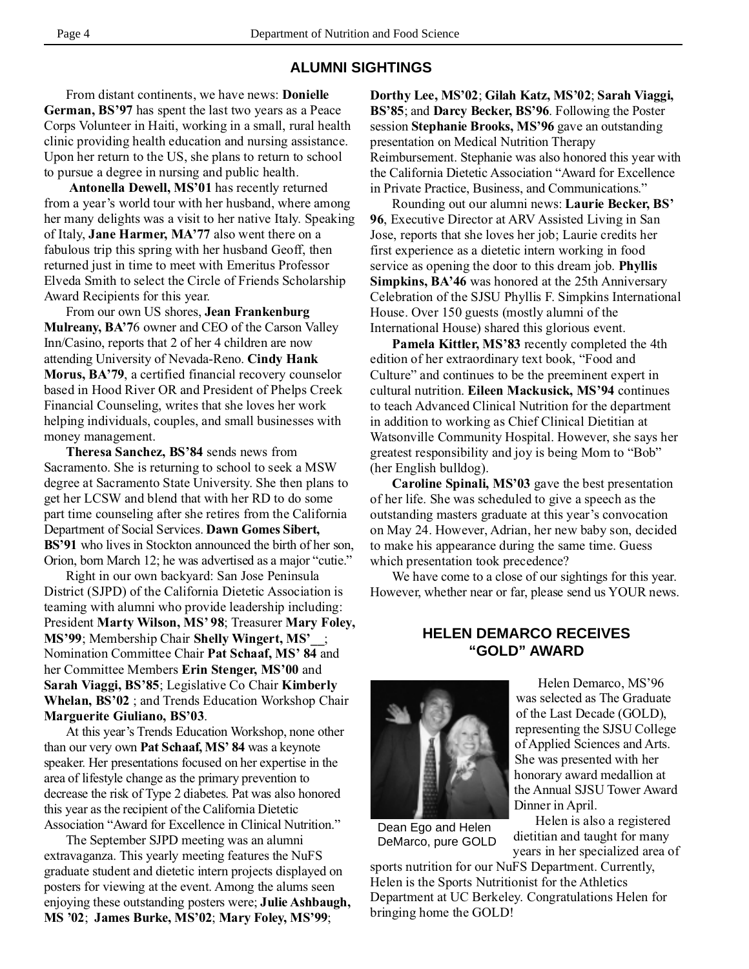#### **ALUMNI SIGHTINGS**

From distant continents, we have news: **Donielle German, BS'97** has spent the last two years as a Peace Corps Volunteer in Haiti, working in a small, rural health clinic providing health education and nursing assistance. Upon her return to the US, she plans to return to school to pursue a degree in nursing and public health.

**Antonella Dewell, MS'01** has recently returned from a year's world tour with her husband, where among her many delights was a visit to her native Italy. Speaking of Italy, **Jane Harmer, MA'77** also went there on a fabulous trip this spring with her husband Geoff, then returned just in time to meet with Emeritus Professor Elveda Smith to select the Circle of Friends Scholarship Award Recipients for this year.

From our own US shores, **Jean Frankenburg Mulreany, BA'7**6 owner and CEO of the Carson Valley Inn/Casino, reports that 2 of her 4 children are now attending University of Nevada-Reno. **Cindy Hank Morus, BA'79**, a certified financial recovery counselor based in Hood River OR and President of Phelps Creek Financial Counseling, writes that she loves her work helping individuals, couples, and small businesses with money management.

**Theresa Sanchez, BS'84** sends news from Sacramento. She is returning to school to seek a MSW degree at Sacramento State University. She then plans to get her LCSW and blend that with her RD to do some part time counseling after she retires from the California Department of Social Services. **Dawn Gomes Sibert, BS'91** who lives in Stockton announced the birth of her son, Orion, born March 12; he was advertised as a major "cutie."

Right in our own backyard: San Jose Peninsula District (SJPD) of the California Dietetic Association is teaming with alumni who provide leadership including: President **Marty Wilson, MS' 98**; Treasurer **Mary Foley, MS'99**; Membership Chair **Shelly Wingert, MS'\_\_**; Nomination Committee Chair **Pat Schaaf, MS' 84** and her Committee Members **Erin Stenger, MS'00** and **Sarah Viaggi, BS'85**; Legislative Co Chair **Kimberly Whelan, BS'02** ; and Trends Education Workshop Chair **Marguerite Giuliano, BS'03**.

At this year's Trends Education Workshop, none other than our very own **Pat Schaaf, MS' 84** was a keynote speaker. Her presentations focused on her expertise in the area of lifestyle change as the primary prevention to decrease the risk of Type 2 diabetes. Pat was also honored this year as the recipient of the California Dietetic Association "Award for Excellence in Clinical Nutrition."

The September SJPD meeting was an alumni extravaganza. This yearly meeting features the NuFS graduate student and dietetic intern projects displayed on posters for viewing at the event. Among the alums seen enjoying these outstanding posters were; **Julie Ashbaugh, MS '02**; **James Burke, MS'02**; **Mary Foley, MS'99**;

**Dorthy Lee, MS'02**; **Gilah Katz, MS'02**; **Sarah Viaggi, BS'85**; and **Darcy Becker, BS'96**. Following the Poster session **Stephanie Brooks, MS'96** gave an outstanding presentation on Medical Nutrition Therapy Reimbursement. Stephanie was also honored this year with the California Dietetic Association "Award for Excellence in Private Practice, Business, and Communications."

Rounding out our alumni news: **Laurie Becker, BS' 96**, Executive Director at ARV Assisted Living in San Jose, reports that she loves her job; Laurie credits her first experience as a dietetic intern working in food service as opening the door to this dream job. **Phyllis Simpkins, BA'46** was honored at the 25th Anniversary Celebration of the SJSU Phyllis F. Simpkins International House. Over 150 guests (mostly alumni of the International House) shared this glorious event.

**Pamela Kittler, MS'83** recently completed the 4th edition of her extraordinary text book, "Food and Culture" and continues to be the preeminent expert in cultural nutrition. **Eileen Mackusick, MS'94** continues to teach Advanced Clinical Nutrition for the department in addition to working as Chief Clinical Dietitian at Watsonville Community Hospital. However, she says her greatest responsibility and joy is being Mom to "Bob" (her English bulldog).

**Caroline Spinali, MS'03** gave the best presentation of her life. She was scheduled to give a speech as the outstanding masters graduate at this year's convocation on May 24. However, Adrian, her new baby son, decided to make his appearance during the same time. Guess which presentation took precedence?

We have come to a close of our sightings for this year. However, whether near or far, please send us YOUR news.

#### **HELEN DEMARCO RECEIVES "GOLD" AWARD**



Dean Ego and Helen DeMarco, pure GOLD

Helen Demarco, MS'96 was selected as The Graduate of the Last Decade (GOLD), representing the SJSU College of Applied Sciences and Arts. She was presented with her honorary award medallion at the Annual SJSU Tower Award Dinner in April.

Helen is also a registered dietitian and taught for many years in her specialized area of

sports nutrition for our NuFS Department. Currently, Helen is the Sports Nutritionist for the Athletics Department at UC Berkeley. Congratulations Helen for bringing home the GOLD!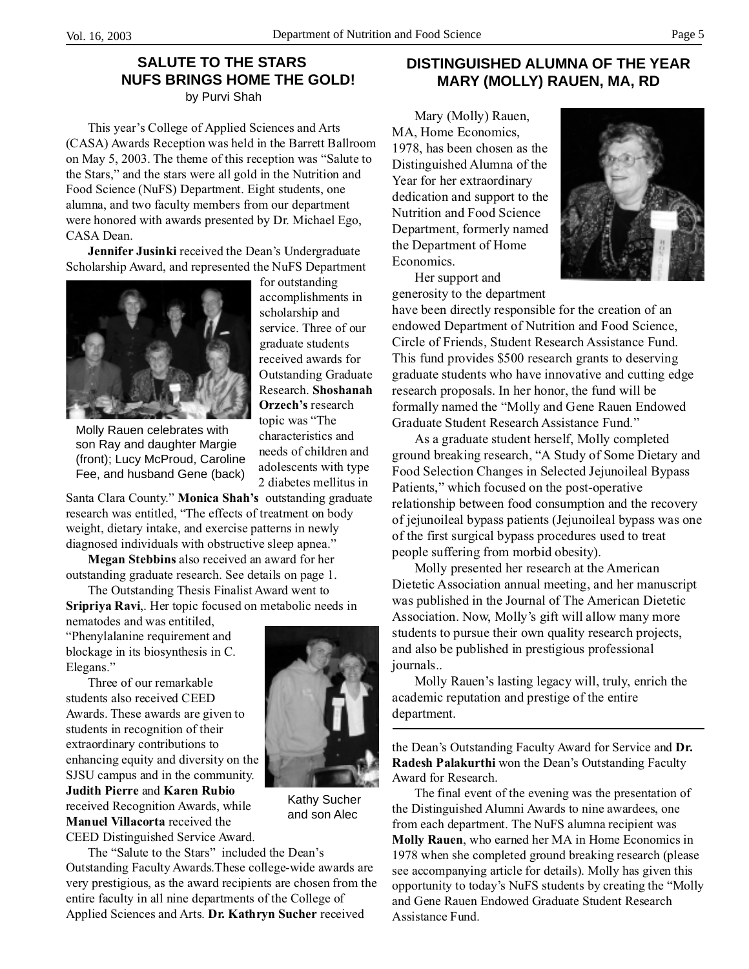# **SALUTE TO THE STARS NUFS BRINGS HOME THE GOLD!**

by Purvi Shah

This year's College of Applied Sciences and Arts (CASA) Awards Reception was held in the Barrett Ballroom on May 5, 2003. The theme of this reception was "Salute to the Stars," and the stars were all gold in the Nutrition and Food Science (NuFS) Department. Eight students, one alumna, and two faculty members from our department were honored with awards presented by Dr. Michael Ego, CASA Dean.

**Jennifer Jusinki** received the Dean's Undergraduate Scholarship Award, and represented the NuFS Department



Molly Rauen celebrates with son Ray and daughter Margie (front); Lucy McProud, Caroline Fee, and husband Gene (back)

topic was "The characteristics and needs of children and adolescents with type 2 diabetes mellitus in

for outstanding accomplishments in scholarship and service. Three of our graduate students received awards for Outstanding Graduate Research. **Shoshanah Orzech's** research

Santa Clara County." **Monica Shah's** outstanding graduate research was entitled, "The effects of treatment on body weight, dietary intake, and exercise patterns in newly diagnosed individuals with obstructive sleep apnea."

**Megan Stebbins** also received an award for her outstanding graduate research. See details on page 1.

The Outstanding Thesis Finalist Award went to **Sripriya Ravi**,. Her topic focused on metabolic needs in

nematodes and was entitiled, "Phenylalanine requirement and blockage in its biosynthesis in C. Elegans."

Three of our remarkable students also received CEED Awards. These awards are given to students in recognition of their extraordinary contributions to enhancing equity and diversity on the SJSU campus and in the community. **Judith Pierre** and **Karen Rubio** received Recognition Awards, while **Manuel Villacorta** received the CEED Distinguished Service Award.



Kathy Sucher and son Alec

The "Salute to the Stars" included the Dean's Outstanding Faculty Awards.These college-wide awards are very prestigious, as the award recipients are chosen from the entire faculty in all nine departments of the College of Applied Sciences and Arts. **Dr. Kathryn Sucher** received

#### **DISTINGUISHED ALUMNA OF THE YEAR MARY (MOLLY) RAUEN, MA, RD**

Mary (Molly) Rauen, MA, Home Economics, 1978, has been chosen as the Distinguished Alumna of the Year for her extraordinary dedication and support to the Nutrition and Food Science Department, formerly named the Department of Home Economics.

Her support and generosity to the department



have been directly responsible for the creation of an endowed Department of Nutrition and Food Science, Circle of Friends, Student Research Assistance Fund. This fund provides \$500 research grants to deserving graduate students who have innovative and cutting edge research proposals. In her honor, the fund will be formally named the "Molly and Gene Rauen Endowed Graduate Student Research Assistance Fund."

As a graduate student herself, Molly completed ground breaking research, "A Study of Some Dietary and Food Selection Changes in Selected Jejunoileal Bypass Patients," which focused on the post-operative relationship between food consumption and the recovery of jejunoileal bypass patients (Jejunoileal bypass was one of the first surgical bypass procedures used to treat people suffering from morbid obesity).

Molly presented her research at the American Dietetic Association annual meeting, and her manuscript was published in the Journal of The American Dietetic Association. Now, Molly's gift will allow many more students to pursue their own quality research projects, and also be published in prestigious professional journals..

Molly Rauen's lasting legacy will, truly, enrich the academic reputation and prestige of the entire department.

the Dean's Outstanding Faculty Award for Service and **Dr. Radesh Palakurthi** won the Dean's Outstanding Faculty Award for Research.

The final event of the evening was the presentation of the Distinguished Alumni Awards to nine awardees, one from each department. The NuFS alumna recipient was **Molly Rauen**, who earned her MA in Home Economics in 1978 when she completed ground breaking research (please see accompanying article for details). Molly has given this opportunity to today's NuFS students by creating the "Molly and Gene Rauen Endowed Graduate Student Research Assistance Fund.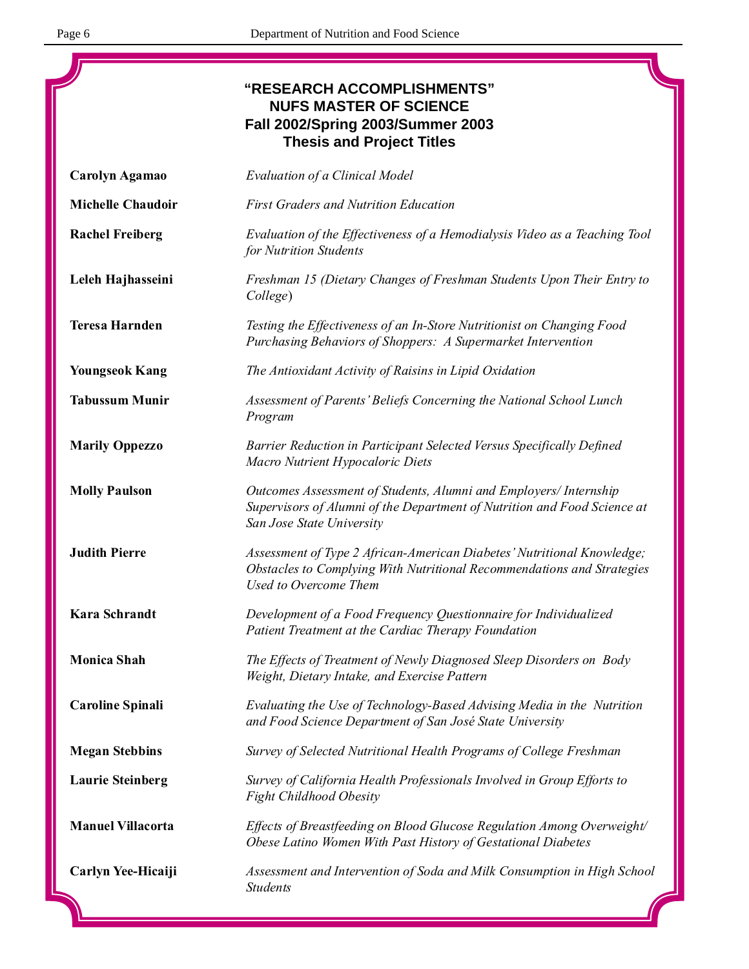$\overline{\mathbf{u}}$ 

|                          | "RESEARCH ACCOMPLISHMENTS"<br><b>NUFS MASTER OF SCIENCE</b><br>Fall 2002/Spring 2003/Summer 2003<br><b>Thesis and Project Titles</b>                                       |
|--------------------------|----------------------------------------------------------------------------------------------------------------------------------------------------------------------------|
| Carolyn Agamao           | Evaluation of a Clinical Model                                                                                                                                             |
| <b>Michelle Chaudoir</b> | <b>First Graders and Nutrition Education</b>                                                                                                                               |
| <b>Rachel Freiberg</b>   | Evaluation of the Effectiveness of a Hemodialysis Video as a Teaching Tool<br>for Nutrition Students                                                                       |
| Leleh Hajhasseini        | Freshman 15 (Dietary Changes of Freshman Students Upon Their Entry to<br>College)                                                                                          |
| <b>Teresa Harnden</b>    | Testing the Effectiveness of an In-Store Nutritionist on Changing Food<br>Purchasing Behaviors of Shoppers: A Supermarket Intervention                                     |
| <b>Youngseok Kang</b>    | The Antioxidant Activity of Raisins in Lipid Oxidation                                                                                                                     |
| <b>Tabussum Munir</b>    | Assessment of Parents' Beliefs Concerning the National School Lunch<br>Program                                                                                             |
| <b>Marily Oppezzo</b>    | Barrier Reduction in Participant Selected Versus Specifically Defined<br>Macro Nutrient Hypocaloric Diets                                                                  |
| <b>Molly Paulson</b>     | Outcomes Assessment of Students, Alumni and Employers/ Internship<br>Supervisors of Alumni of the Department of Nutrition and Food Science at<br>San Jose State University |
| <b>Judith Pierre</b>     | Assessment of Type 2 African-American Diabetes' Nutritional Knowledge;<br>Obstacles to Complying With Nutritional Recommendations and Strategies<br>Used to Overcome Them  |
| <b>Kara Schrandt</b>     | Development of a Food Frequency Questionnaire for Individualized<br>Patient Treatment at the Cardiac Therapy Foundation                                                    |
| <b>Monica Shah</b>       | The Effects of Treatment of Newly Diagnosed Sleep Disorders on Body<br>Weight, Dietary Intake, and Exercise Pattern                                                        |
| <b>Caroline Spinali</b>  | Evaluating the Use of Technology-Based Advising Media in the Nutrition<br>and Food Science Department of San José State University                                         |
| <b>Megan Stebbins</b>    | Survey of Selected Nutritional Health Programs of College Freshman                                                                                                         |
| <b>Laurie Steinberg</b>  | Survey of California Health Professionals Involved in Group Efforts to<br><b>Fight Childhood Obesity</b>                                                                   |
| <b>Manuel Villacorta</b> | Effects of Breastfeeding on Blood Glucose Regulation Among Overweight/<br>Obese Latino Women With Past History of Gestational Diabetes                                     |
| Carlyn Yee-Hicaiji       | Assessment and Intervention of Soda and Milk Consumption in High School<br><b>Students</b>                                                                                 |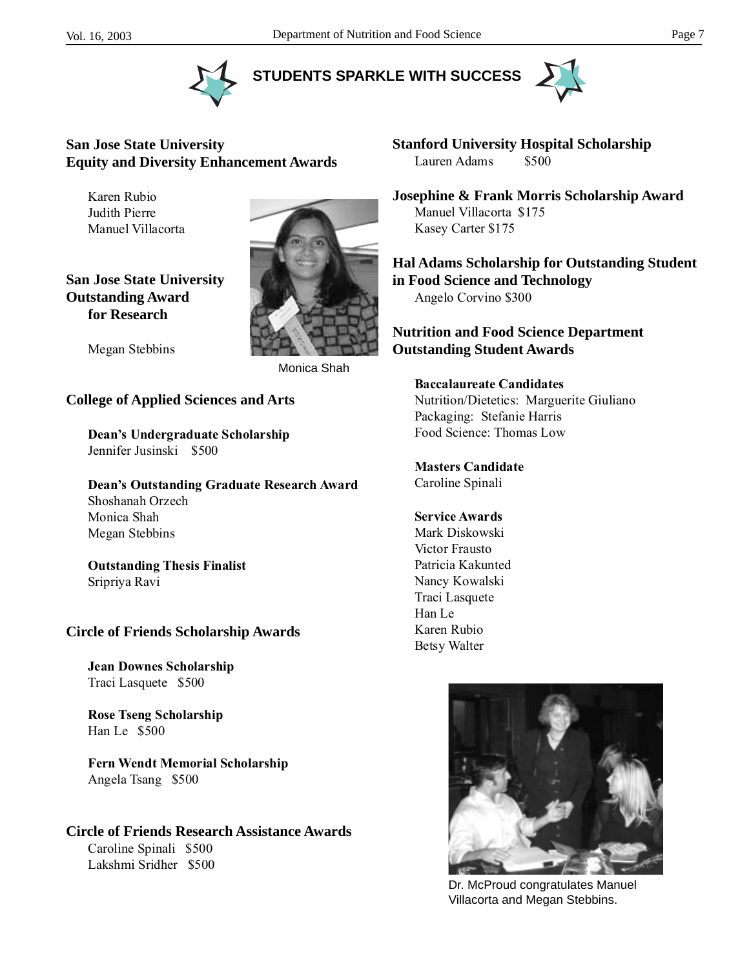



**STUDENTS SPARKLE WITH SUCCESS**



### **San Jose State University Equity and Diversity Enhancement Awards**

Karen Rubio Judith Pierre Manuel Villacorta

**San Jose State University Outstanding Award for Research**



Megan Stebbins

Monica Shah

#### **College of Applied Sciences and Arts**

**Dean's Undergraduate Scholarship** Jennifer Jusinski \$500

**Dean's Outstanding Graduate Research Award** Shoshanah Orzech Monica Shah Megan Stebbins

**Outstanding Thesis Finalist** Sripriya Ravi

#### **Circle of Friends Scholarship Awards**

**Jean Downes Scholarship** Traci Lasquete \$500

**Rose Tseng Scholarship** Han Le \$500

**Fern Wendt Memorial Scholarship** Angela Tsang \$500

# **Circle of Friends Research Assistance Awards**

Caroline Spinali \$500 Lakshmi Sridher \$500 **Stanford University Hospital Scholarship** Lauren Adams \$500

**Josephine & Frank Morris Scholarship Award** Manuel Villacorta \$175 Kasey Carter \$175

**Hal Adams Scholarship for Outstanding Student in Food Science and Technology** Angelo Corvino \$300

#### **Nutrition and Food Science Department Outstanding Student Awards**

**Baccalaureate Candidates** Nutrition/Dietetics: Marguerite Giuliano Packaging: Stefanie Harris Food Science: Thomas Low

**Masters Candidate** Caroline Spinali

#### **Service Awards**

Mark Diskowski Victor Frausto Patricia Kakunted Nancy Kowalski Traci Lasquete Han Le Karen Rubio Betsy Walter



Dr. McProud congratulates Manuel Villacorta and Megan Stebbins.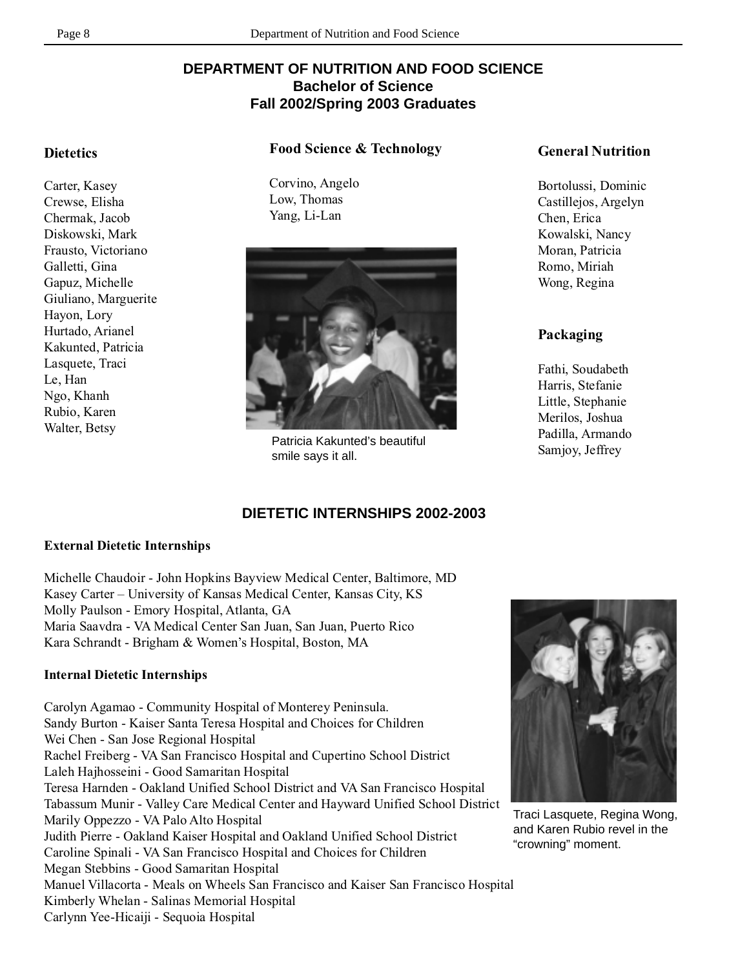# **DEPARTMENT OF NUTRITION AND FOOD SCIENCE Bachelor of Science Fall 2002/Spring 2003 Graduates**

#### **Dietetics**

Carter, Kasey Crewse, Elisha Chermak, Jacob Diskowski, Mark Frausto, Victoriano Galletti, Gina Gapuz, Michelle Giuliano, Marguerite Hayon, Lory Hurtado, Arianel Kakunted, Patricia Lasquete, Traci Le, Han Ngo, Khanh Rubio, Karen Walter, Betsy

#### **Food Science & Technology**

Corvino, Angelo Low, Thomas Yang, Li-Lan



Patricia Kakunted's beautiful smile says it all.

#### **DIETETIC INTERNSHIPS 2002-2003**

#### **External Dietetic Internships**

Michelle Chaudoir - John Hopkins Bayview Medical Center, Baltimore, MD Kasey Carter – University of Kansas Medical Center, Kansas City, KS Molly Paulson - Emory Hospital, Atlanta, GA Maria Saavdra - VA Medical Center San Juan, San Juan, Puerto Rico Kara Schrandt - Brigham & Women's Hospital, Boston, MA

#### **Internal Dietetic Internships**

Carolyn Agamao - Community Hospital of Monterey Peninsula. Sandy Burton - Kaiser Santa Teresa Hospital and Choices for Children Wei Chen - San Jose Regional Hospital Rachel Freiberg - VA San Francisco Hospital and Cupertino School District Laleh Hajhosseini - Good Samaritan Hospital Teresa Harnden - Oakland Unified School District and VA San Francisco Hospital Tabassum Munir - Valley Care Medical Center and Hayward Unified School District Marily Oppezzo - VA Palo Alto Hospital Judith Pierre - Oakland Kaiser Hospital and Oakland Unified School District Caroline Spinali - VA San Francisco Hospital and Choices for Children Megan Stebbins - Good Samaritan Hospital Manuel Villacorta - Meals on Wheels San Francisco and Kaiser San Francisco Hospital Kimberly Whelan - Salinas Memorial Hospital Carlynn Yee-Hicaiji - Sequoia Hospital



Traci Lasquete, Regina Wong, and Karen Rubio revel in the "crowning" moment.

#### **General Nutrition**

Bortolussi, Dominic Castillejos, Argelyn Chen, Erica Kowalski, Nancy Moran, Patricia Romo, Miriah Wong, Regina

#### **Packaging**

Fathi, Soudabeth Harris, Stefanie Little, Stephanie Merilos, Joshua Padilla, Armando Samjoy, Jeffrey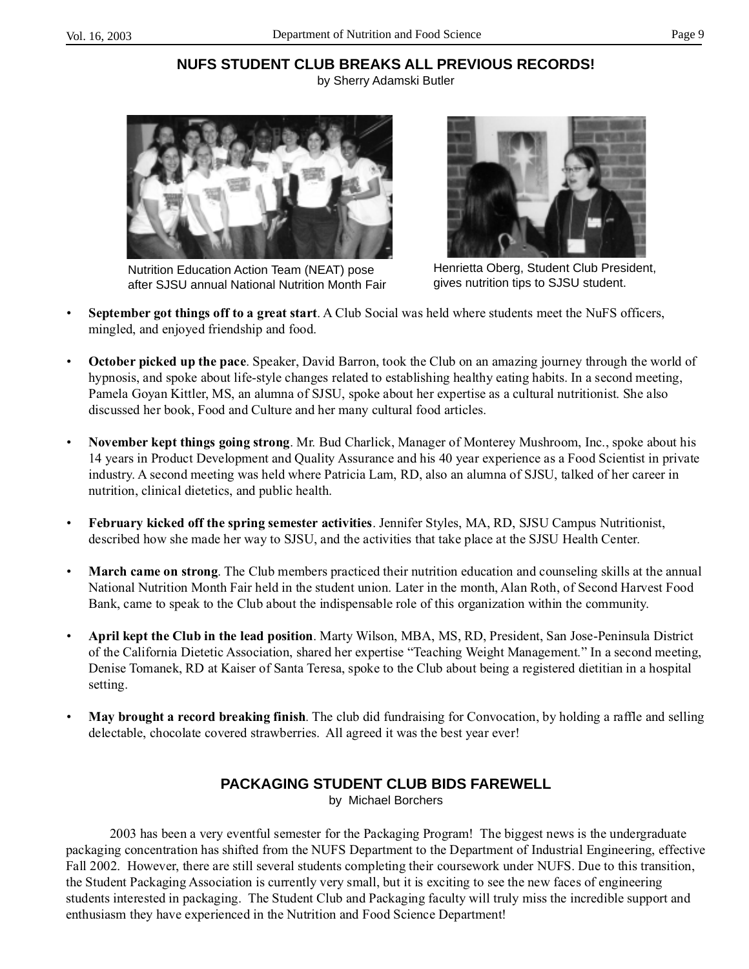# **NUFS STUDENT CLUB BREAKS ALL PREVIOUS RECORDS!**

by Sherry Adamski Butler



Nutrition Education Action Team (NEAT) pose after SJSU annual National Nutrition Month Fair



Henrietta Oberg, Student Club President, gives nutrition tips to SJSU student.

- **September got things off to a great start**. A Club Social was held where students meet the NuFS officers, mingled, and enjoyed friendship and food.
- **October picked up the pace**. Speaker, David Barron, took the Club on an amazing journey through the world of hypnosis, and spoke about life-style changes related to establishing healthy eating habits. In a second meeting, Pamela Goyan Kittler, MS, an alumna of SJSU, spoke about her expertise as a cultural nutritionist. She also discussed her book, Food and Culture and her many cultural food articles.
- **November kept things going strong**. Mr. Bud Charlick, Manager of Monterey Mushroom, Inc., spoke about his 14 years in Product Development and Quality Assurance and his 40 year experience as a Food Scientist in private industry. A second meeting was held where Patricia Lam, RD, also an alumna of SJSU, talked of her career in nutrition, clinical dietetics, and public health.
- **February kicked off the spring semester activities**. Jennifer Styles, MA, RD, SJSU Campus Nutritionist, described how she made her way to SJSU, and the activities that take place at the SJSU Health Center.
- **March came on strong**. The Club members practiced their nutrition education and counseling skills at the annual National Nutrition Month Fair held in the student union. Later in the month, Alan Roth, of Second Harvest Food Bank, came to speak to the Club about the indispensable role of this organization within the community.
- **April kept the Club in the lead position**. Marty Wilson, MBA, MS, RD, President, San Jose-Peninsula District of the California Dietetic Association, shared her expertise "Teaching Weight Management." In a second meeting, Denise Tomanek, RD at Kaiser of Santa Teresa, spoke to the Club about being a registered dietitian in a hospital setting.
- **May brought a record breaking finish**. The club did fundraising for Convocation, by holding a raffle and selling delectable, chocolate covered strawberries. All agreed it was the best year ever!

# **PACKAGING STUDENT CLUB BIDS FAREWELL**

by Michael Borchers

2003 has been a very eventful semester for the Packaging Program! The biggest news is the undergraduate packaging concentration has shifted from the NUFS Department to the Department of Industrial Engineering, effective Fall 2002. However, there are still several students completing their coursework under NUFS. Due to this transition, the Student Packaging Association is currently very small, but it is exciting to see the new faces of engineering students interested in packaging. The Student Club and Packaging faculty will truly miss the incredible support and enthusiasm they have experienced in the Nutrition and Food Science Department!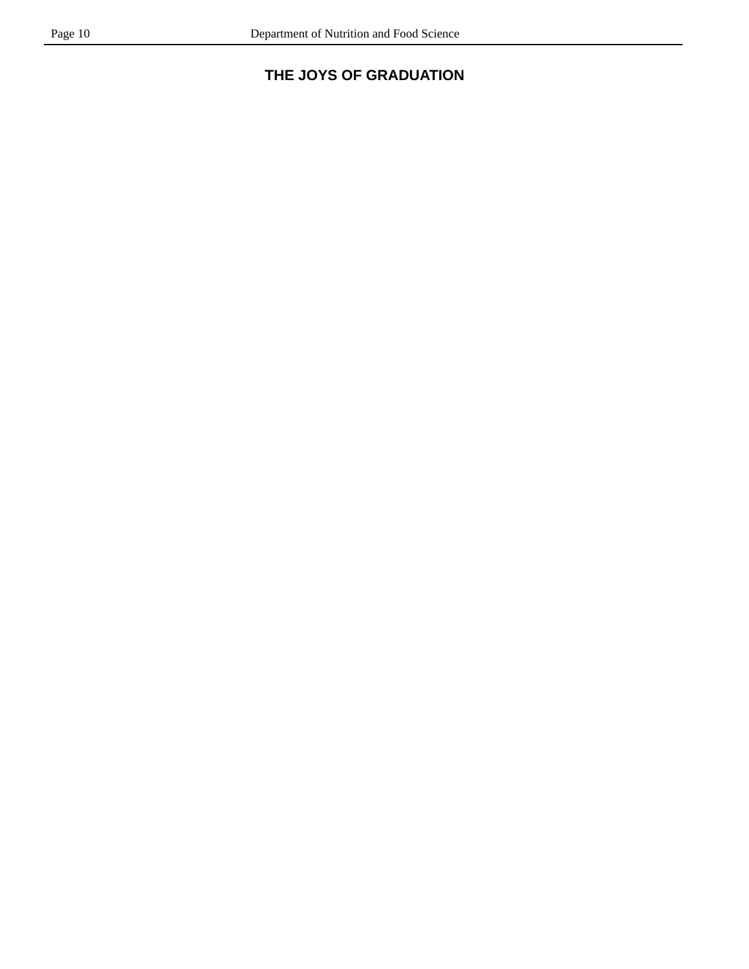# **THE JOYS OF GRADUATION**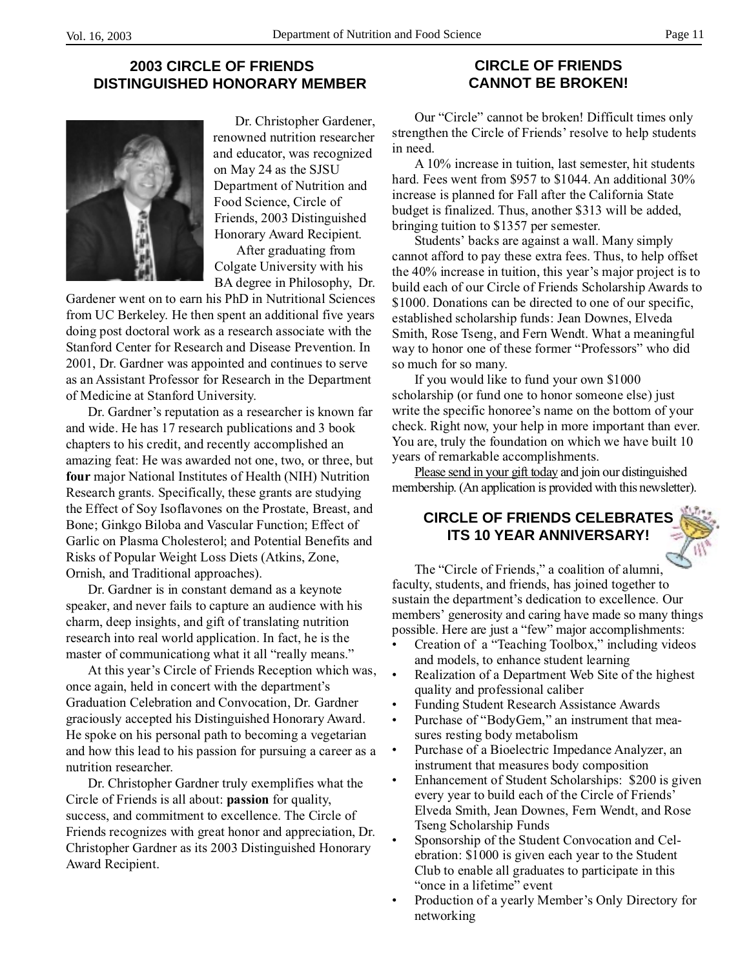# **2003 CIRCLE OF FRIENDS DISTINGUISHED HONORARY MEMBER**



Dr. Christopher Gardener, renowned nutrition researcher and educator, was recognized on May 24 as the SJSU Department of Nutrition and Food Science, Circle of Friends, 2003 Distinguished Honorary Award Recipient.

After graduating from Colgate University with his BA degree in Philosophy, Dr.

Gardener went on to earn his PhD in Nutritional Sciences from UC Berkeley. He then spent an additional five years doing post doctoral work as a research associate with the Stanford Center for Research and Disease Prevention. In 2001, Dr. Gardner was appointed and continues to serve as an Assistant Professor for Research in the Department of Medicine at Stanford University.

Dr. Gardner's reputation as a researcher is known far and wide. He has 17 research publications and 3 book chapters to his credit, and recently accomplished an amazing feat: He was awarded not one, two, or three, but **four** major National Institutes of Health (NIH) Nutrition Research grants. Specifically, these grants are studying the Effect of Soy Isoflavones on the Prostate, Breast, and Bone; Ginkgo Biloba and Vascular Function; Effect of Garlic on Plasma Cholesterol; and Potential Benefits and Risks of Popular Weight Loss Diets (Atkins, Zone, Ornish, and Traditional approaches).

Dr. Gardner is in constant demand as a keynote speaker, and never fails to capture an audience with his charm, deep insights, and gift of translating nutrition research into real world application. In fact, he is the master of communicationg what it all "really means."

At this year's Circle of Friends Reception which was, once again, held in concert with the department's Graduation Celebration and Convocation, Dr. Gardner graciously accepted his Distinguished Honorary Award. He spoke on his personal path to becoming a vegetarian and how this lead to his passion for pursuing a career as a nutrition researcher.

Dr. Christopher Gardner truly exemplifies what the Circle of Friends is all about: **passion** for quality, success, and commitment to excellence. The Circle of Friends recognizes with great honor and appreciation, Dr. Christopher Gardner as its 2003 Distinguished Honorary Award Recipient.

#### **CIRCLE OF FRIENDS CANNOT BE BROKEN!**

Our "Circle" cannot be broken! Difficult times only strengthen the Circle of Friends' resolve to help students in need.

A 10% increase in tuition, last semester, hit students hard. Fees went from \$957 to \$1044. An additional 30% increase is planned for Fall after the California State budget is finalized. Thus, another \$313 will be added, bringing tuition to \$1357 per semester.

Students' backs are against a wall. Many simply cannot afford to pay these extra fees. Thus, to help offset the 40% increase in tuition, this year's major project is to build each of our Circle of Friends Scholarship Awards to \$1000. Donations can be directed to one of our specific, established scholarship funds: Jean Downes, Elveda Smith, Rose Tseng, and Fern Wendt. What a meaningful way to honor one of these former "Professors" who did so much for so many.

If you would like to fund your own \$1000 scholarship (or fund one to honor someone else) just write the specific honoree's name on the bottom of your check. Right now, your help in more important than ever. You are, truly the foundation on which we have built 10 years of remarkable accomplishments.

Please send in your gift today and join our distinguished membership. (An application is provided with this newsletter).

# **CIRCLE OF FRIENDS CELEBRATES ITS 10 YEAR ANNIVERSARY!**



The "Circle of Friends," a coalition of alumni, faculty, students, and friends, has joined together to sustain the department's dedication to excellence. Our members' generosity and caring have made so many things possible. Here are just a "few" major accomplishments:

- Creation of a "Teaching Toolbox," including videos and models, to enhance student learning
- Realization of a Department Web Site of the highest quality and professional caliber
- Funding Student Research Assistance Awards
- Purchase of "BodyGem," an instrument that measures resting body metabolism
- Purchase of a Bioelectric Impedance Analyzer, an instrument that measures body composition
- Enhancement of Student Scholarships: \$200 is given every year to build each of the Circle of Friends' Elveda Smith, Jean Downes, Fern Wendt, and Rose Tseng Scholarship Funds
- Sponsorship of the Student Convocation and Celebration: \$1000 is given each year to the Student Club to enable all graduates to participate in this "once in a lifetime" event
- Production of a yearly Member's Only Directory for networking